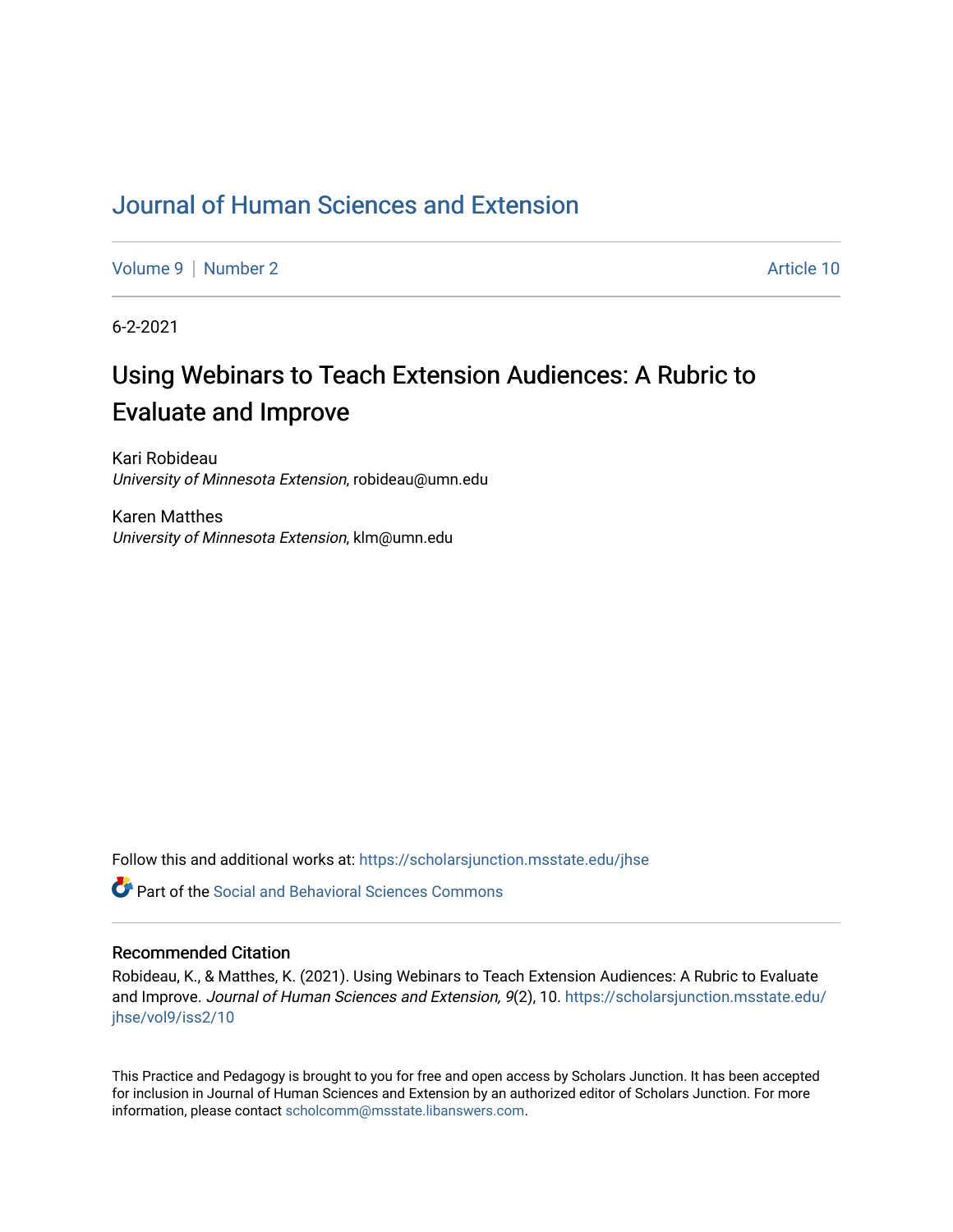# [Journal of Human Sciences and Extension](https://scholarsjunction.msstate.edu/jhse)

[Volume 9](https://scholarsjunction.msstate.edu/jhse/vol9) | [Number 2](https://scholarsjunction.msstate.edu/jhse/vol9/iss2) Article 10

6-2-2021

# Using Webinars to Teach Extension Audiences: A Rubric to Evaluate and Improve

Kari Robideau University of Minnesota Extension, robideau@umn.edu

Karen Matthes University of Minnesota Extension, klm@umn.edu

Follow this and additional works at: [https://scholarsjunction.msstate.edu/jhse](https://scholarsjunction.msstate.edu/jhse?utm_source=scholarsjunction.msstate.edu%2Fjhse%2Fvol9%2Fiss2%2F10&utm_medium=PDF&utm_campaign=PDFCoverPages)

 $\bullet$  Part of the Social and Behavioral Sciences Commons

#### Recommended Citation

Robideau, K., & Matthes, K. (2021). Using Webinars to Teach Extension Audiences: A Rubric to Evaluate and Improve. Journal of Human Sciences and Extension, 9(2), 10. [https://scholarsjunction.msstate.edu/](https://scholarsjunction.msstate.edu/jhse/vol9/iss2/10?utm_source=scholarsjunction.msstate.edu%2Fjhse%2Fvol9%2Fiss2%2F10&utm_medium=PDF&utm_campaign=PDFCoverPages) [jhse/vol9/iss2/10](https://scholarsjunction.msstate.edu/jhse/vol9/iss2/10?utm_source=scholarsjunction.msstate.edu%2Fjhse%2Fvol9%2Fiss2%2F10&utm_medium=PDF&utm_campaign=PDFCoverPages) 

This Practice and Pedagogy is brought to you for free and open access by Scholars Junction. It has been accepted for inclusion in Journal of Human Sciences and Extension by an authorized editor of Scholars Junction. For more information, please contact [scholcomm@msstate.libanswers.com](mailto:scholcomm@msstate.libanswers.com).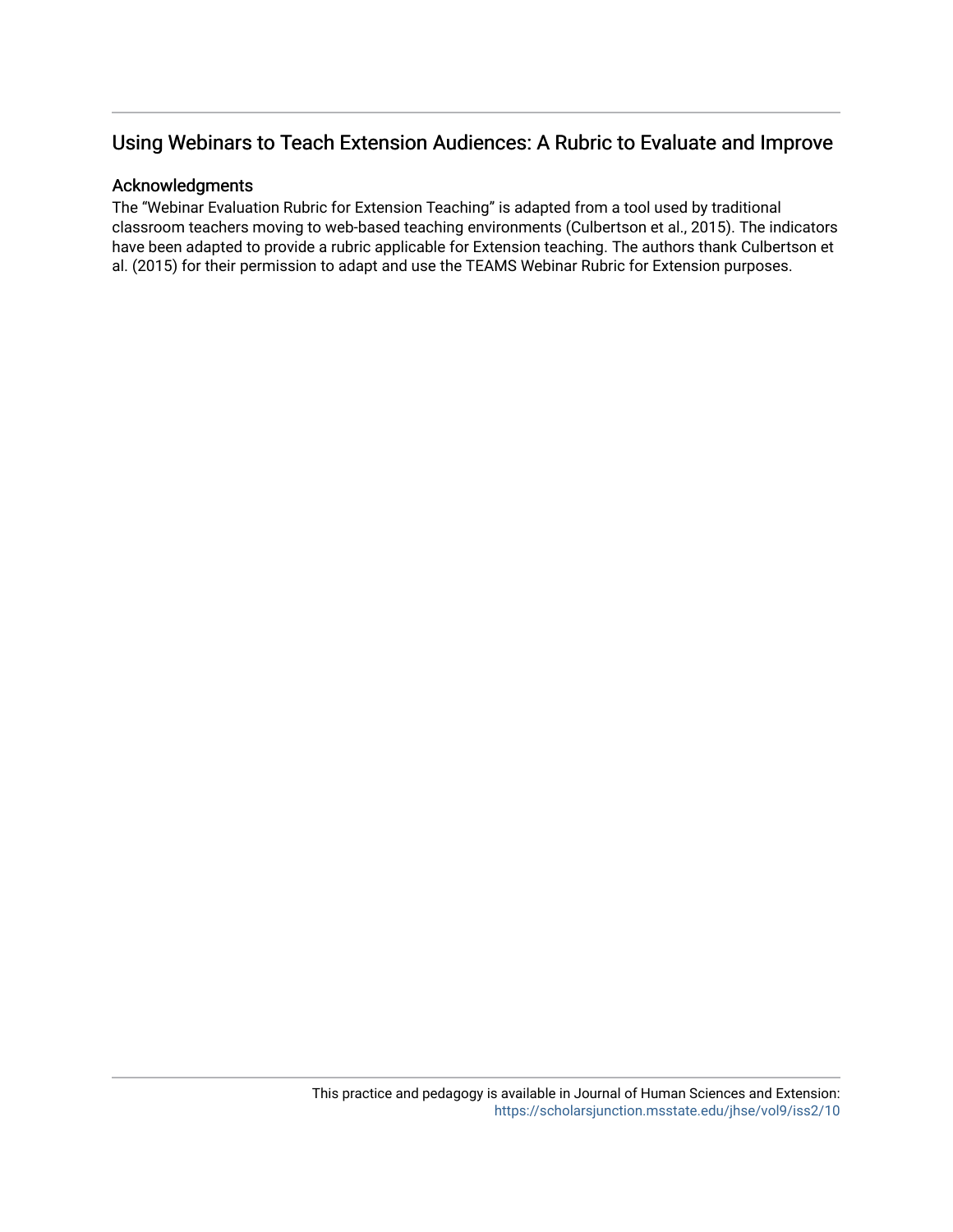# Using Webinars to Teach Extension Audiences: A Rubric to Evaluate and Improve

#### Acknowledgments

The "Webinar Evaluation Rubric for Extension Teaching" is adapted from a tool used by traditional classroom teachers moving to web-based teaching environments (Culbertson et al., 2015). The indicators have been adapted to provide a rubric applicable for Extension teaching. The authors thank Culbertson et al. (2015) for their permission to adapt and use the TEAMS Webinar Rubric for Extension purposes.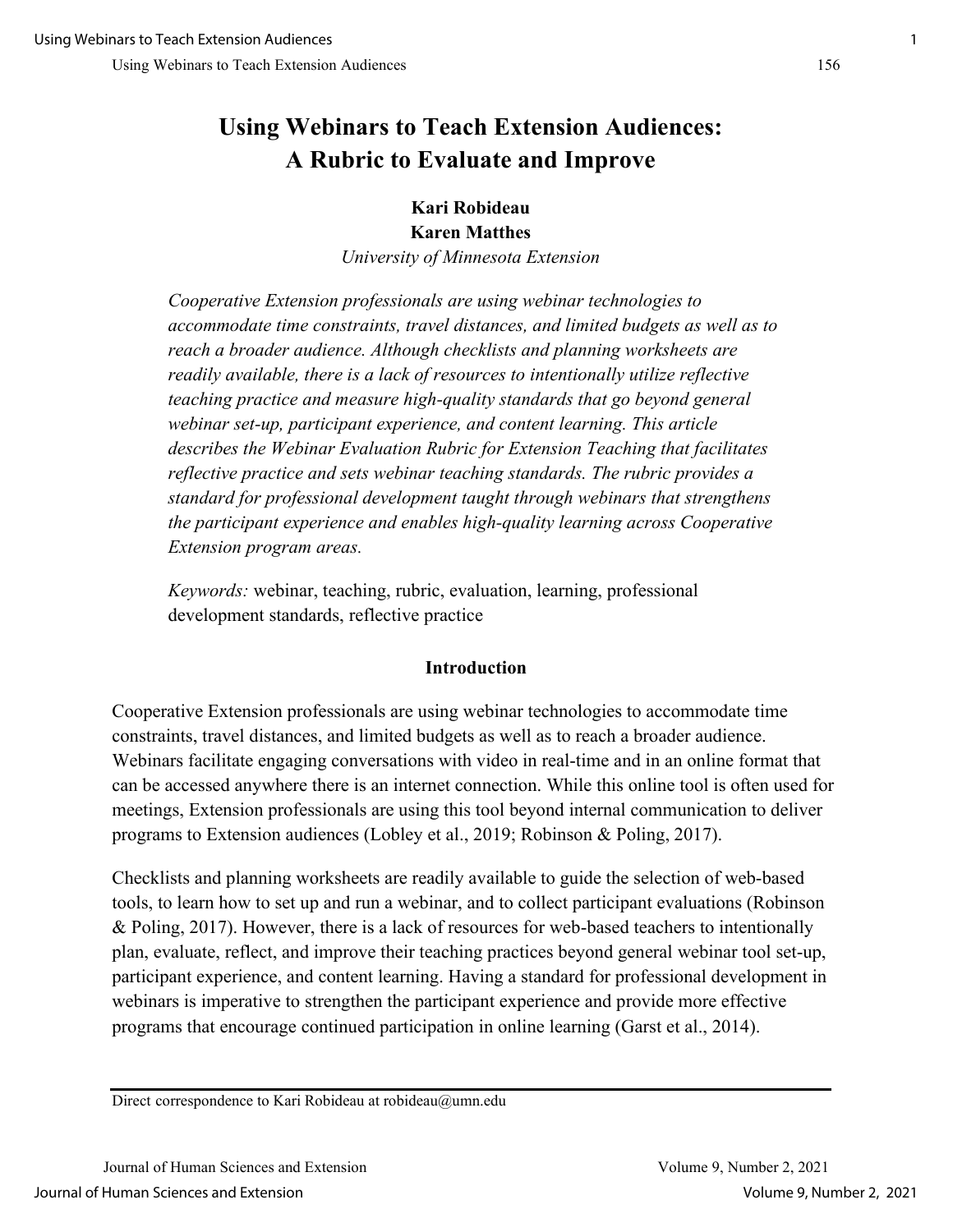# **Using Webinars to Teach Extension Audiences: A Rubric to Evaluate and Improve**

## **Kari Robideau Karen Matthes**

*University of Minnesota Extension*

*Cooperative Extension professionals are using webinar technologies to accommodate time constraints, travel distances, and limited budgets as well as to reach a broader audience. Although checklists and planning worksheets are readily available, there is a lack of resources to intentionally utilize reflective teaching practice and measure high-quality standards that go beyond general webinar set-up, participant experience, and content learning. This article describes the Webinar Evaluation Rubric for Extension Teaching that facilitates reflective practice and sets webinar teaching standards. The rubric provides a standard for professional development taught through webinars that strengthens the participant experience and enables high-quality learning across Cooperative Extension program areas.* 

*Keywords:* webinar, teaching, rubric, evaluation, learning, professional development standards, reflective practice

### **Introduction**

Cooperative Extension professionals are using webinar technologies to accommodate time constraints, travel distances, and limited budgets as well as to reach a broader audience. Webinars facilitate engaging conversations with video in real-time and in an online format that can be accessed anywhere there is an internet connection. While this online tool is often used for meetings, Extension professionals are using this tool beyond internal communication to deliver programs to Extension audiences (Lobley et al., 2019; Robinson & Poling, 2017).

Checklists and planning worksheets are readily available to guide the selection of web-based tools, to learn how to set up and run a webinar, and to collect participant evaluations (Robinson & Poling, 2017). However, there is a lack of resources for web-based teachers to intentionally plan, evaluate, reflect, and improve their teaching practices beyond general webinar tool set-up, participant experience, and content learning. Having a standard for professional development in webinars is imperative to strengthen the participant experience and provide more effective programs that encourage continued participation in online learning (Garst et al., 2014).

Direct correspondence to Kari Robideau at robideau@umn.edu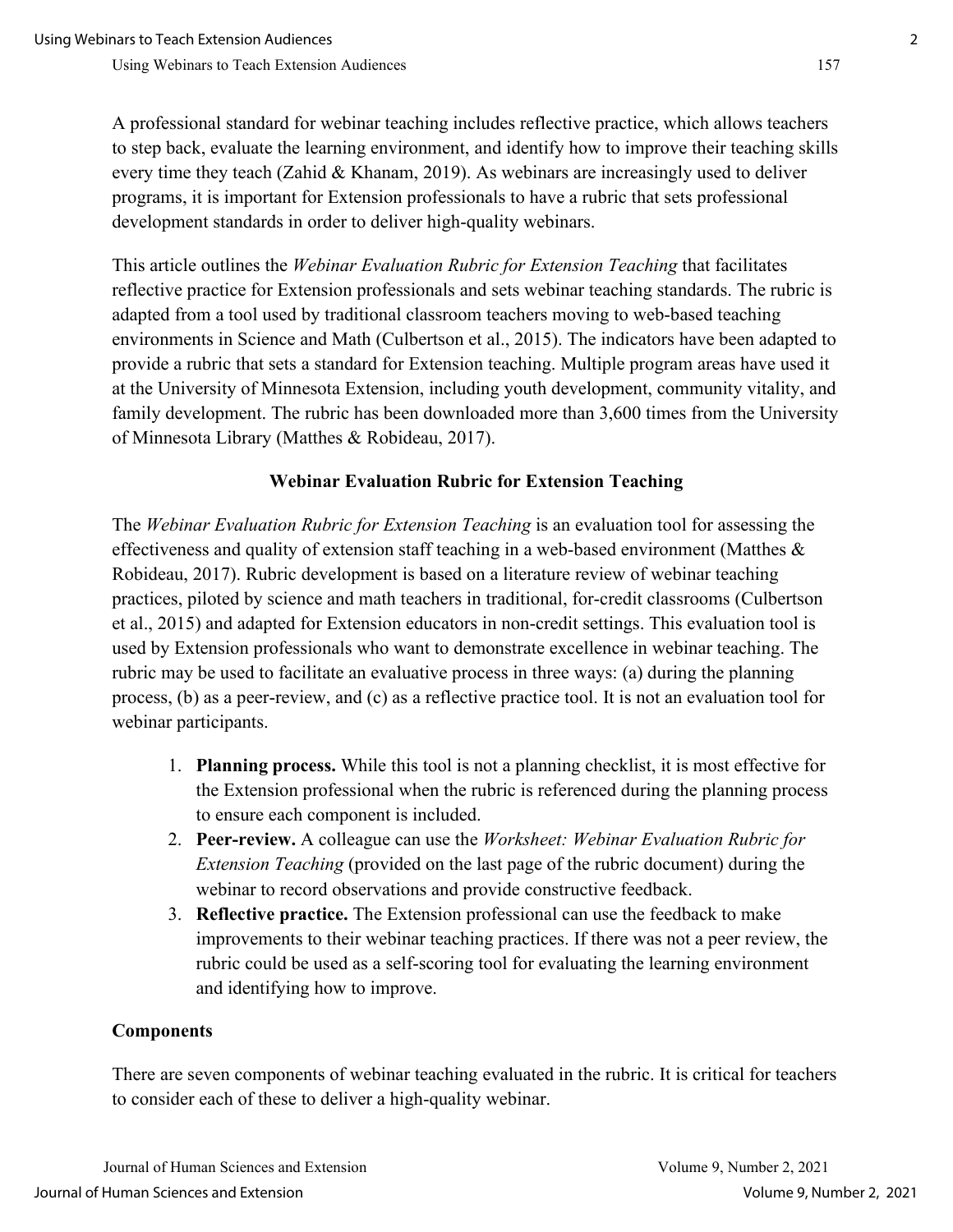A professional standard for webinar teaching includes reflective practice, which allows teachers to step back, evaluate the learning environment, and identify how to improve their teaching skills every time they teach (Zahid & Khanam, 2019). As webinars are increasingly used to deliver programs, it is important for Extension professionals to have a rubric that sets professional development standards in order to deliver high-quality webinars.

This article outlines the *Webinar Evaluation Rubric for Extension Teaching* that facilitates reflective practice for Extension professionals and sets webinar teaching standards. The rubric is adapted from a tool used by traditional classroom teachers moving to web-based teaching environments in Science and Math (Culbertson et al., 2015). The indicators have been adapted to provide a rubric that sets a standard for Extension teaching. Multiple program areas have used it at the University of Minnesota Extension, including youth development, community vitality, and family development. The rubric has been downloaded more than 3,600 times from the University of Minnesota Library (Matthes & Robideau, 2017).

#### **Webinar Evaluation Rubric for Extension Teaching**

The *Webinar Evaluation Rubric for Extension Teaching* is an evaluation tool for assessing the effectiveness and quality of extension staff teaching in a web-based environment (Matthes & Robideau, 2017). Rubric development is based on a literature review of webinar teaching practices, piloted by science and math teachers in traditional, for-credit classrooms (Culbertson et al., 2015) and adapted for Extension educators in non-credit settings. This evaluation tool is used by Extension professionals who want to demonstrate excellence in webinar teaching. The rubric may be used to facilitate an evaluative process in three ways: (a) during the planning process, (b) as a peer-review, and (c) as a reflective practice tool. It is not an evaluation tool for webinar participants.

- 1. **Planning process.** While this tool is not a planning checklist, it is most effective for the Extension professional when the rubric is referenced during the planning process to ensure each component is included.
- 2. **Peer-review.** A colleague can use the *Worksheet: Webinar Evaluation Rubric for Extension Teaching* (provided on the last page of the rubric document) during the webinar to record observations and provide constructive feedback.
- 3. **Reflective practice.** The Extension professional can use the feedback to make improvements to their webinar teaching practices. If there was not a peer review, the rubric could be used as a self-scoring tool for evaluating the learning environment and identifying how to improve.

#### **Components**

There are seven components of webinar teaching evaluated in the rubric. It is critical for teachers to consider each of these to deliver a high-quality webinar.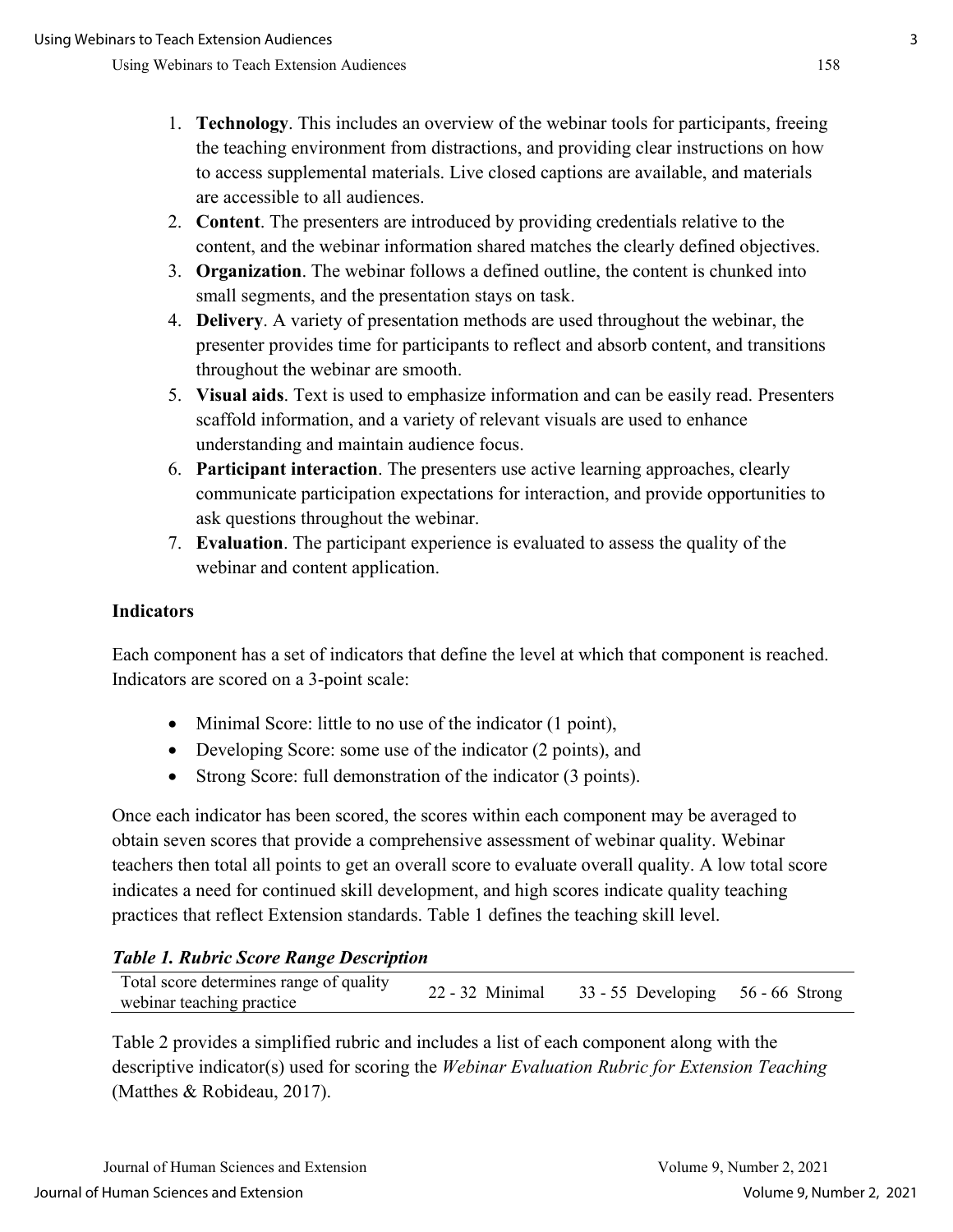- 1. **Technology**. This includes an overview of the webinar tools for participants, freeing the teaching environment from distractions, and providing clear instructions on how to access supplemental materials. Live closed captions are available, and materials are accessible to all audiences.
- 2. **Content**. The presenters are introduced by providing credentials relative to the content, and the webinar information shared matches the clearly defined objectives.
- 3. **Organization**. The webinar follows a defined outline, the content is chunked into small segments, and the presentation stays on task.
- 4. **Delivery**. A variety of presentation methods are used throughout the webinar, the presenter provides time for participants to reflect and absorb content, and transitions throughout the webinar are smooth.
- 5. **Visual aids**. Text is used to emphasize information and can be easily read. Presenters scaffold information, and a variety of relevant visuals are used to enhance understanding and maintain audience focus.
- 6. **Participant interaction**. The presenters use active learning approaches, clearly communicate participation expectations for interaction, and provide opportunities to ask questions throughout the webinar.
- 7. **Evaluation**. The participant experience is evaluated to assess the quality of the webinar and content application.

#### **Indicators**

Each component has a set of indicators that define the level at which that component is reached. Indicators are scored on a 3-point scale:

- Minimal Score: little to no use of the indicator (1 point),
- Developing Score: some use of the indicator (2 points), and
- Strong Score: full demonstration of the indicator (3 points).

Once each indicator has been scored, the scores within each component may be averaged to obtain seven scores that provide a comprehensive assessment of webinar quality. Webinar teachers then total all points to get an overall score to evaluate overall quality. A low total score indicates a need for continued skill development, and high scores indicate quality teaching practices that reflect Extension standards. Table 1 defines the teaching skill level.

### *Table 1. Rubric Score Range Description*

| 22 - 32 Minimal 33 - 55 Developing 56 - 66 Strong<br>webinar teaching practice |
|--------------------------------------------------------------------------------|
|--------------------------------------------------------------------------------|

Table 2 provides a simplified rubric and includes a list of each component along with the descriptive indicator(s) used for scoring the *Webinar Evaluation Rubric for Extension Teaching* (Matthes & Robideau, 2017).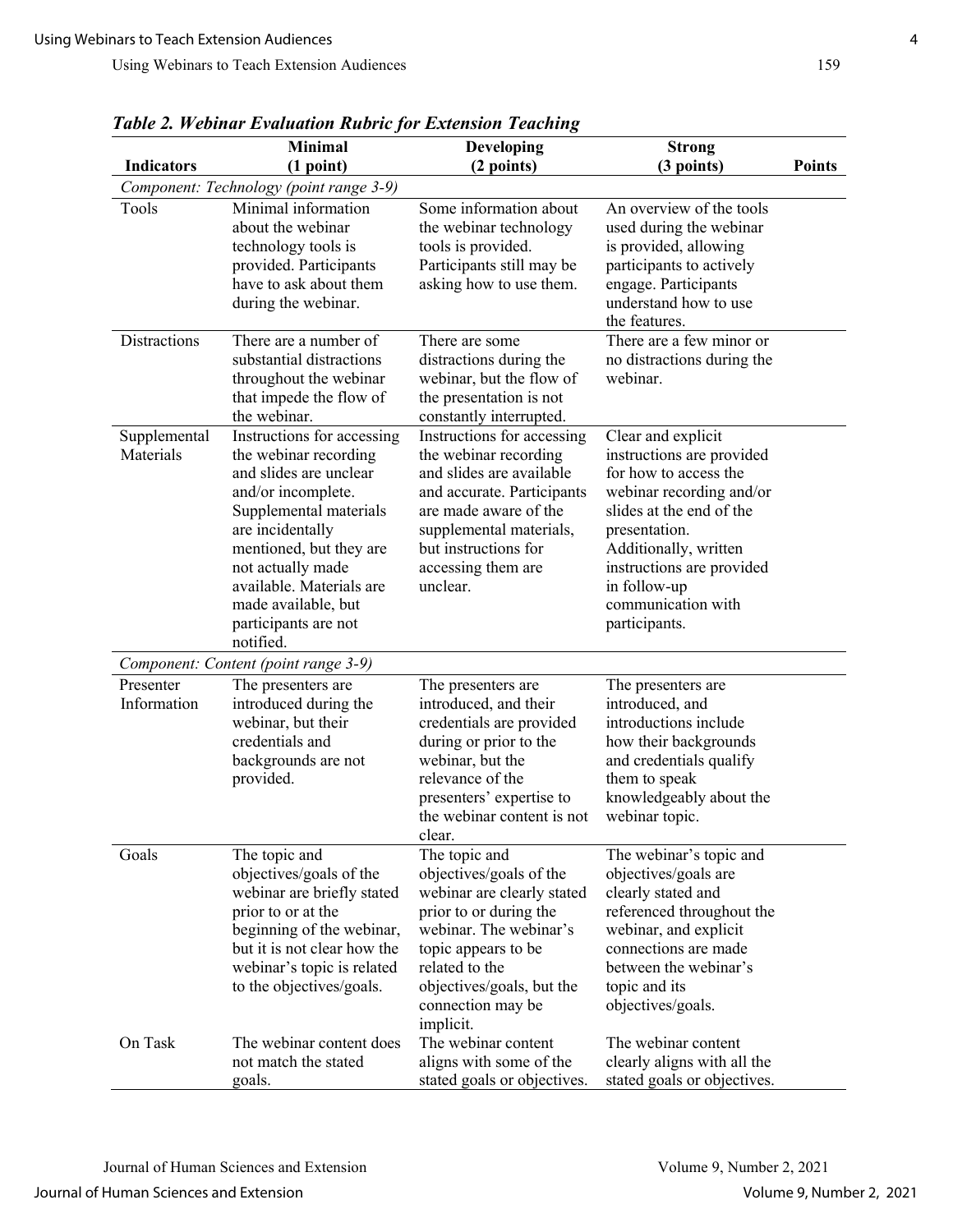|                           | Table 2, revinar Evaluation Kubric for Extension Teaching<br><b>Minimal</b>                                                                                                                                                                                                               | Developing                                                                                                                                                                                                                         | <b>Strong</b>                                                                                                                                                                                                                                                  |               |
|---------------------------|-------------------------------------------------------------------------------------------------------------------------------------------------------------------------------------------------------------------------------------------------------------------------------------------|------------------------------------------------------------------------------------------------------------------------------------------------------------------------------------------------------------------------------------|----------------------------------------------------------------------------------------------------------------------------------------------------------------------------------------------------------------------------------------------------------------|---------------|
| <b>Indicators</b>         | (1 point)                                                                                                                                                                                                                                                                                 | (2 points)                                                                                                                                                                                                                         | (3 points)                                                                                                                                                                                                                                                     | <b>Points</b> |
|                           | Component: Technology (point range 3-9)                                                                                                                                                                                                                                                   |                                                                                                                                                                                                                                    |                                                                                                                                                                                                                                                                |               |
| Tools                     | Minimal information<br>about the webinar<br>technology tools is<br>provided. Participants<br>have to ask about them<br>during the webinar.                                                                                                                                                | Some information about<br>the webinar technology<br>tools is provided.<br>Participants still may be<br>asking how to use them.                                                                                                     | An overview of the tools<br>used during the webinar<br>is provided, allowing<br>participants to actively<br>engage. Participants<br>understand how to use<br>the features.                                                                                     |               |
| <b>Distractions</b>       | There are a number of<br>substantial distractions<br>throughout the webinar<br>that impede the flow of<br>the webinar.                                                                                                                                                                    | There are some<br>distractions during the<br>webinar, but the flow of<br>the presentation is not<br>constantly interrupted.                                                                                                        | There are a few minor or<br>no distractions during the<br>webinar.                                                                                                                                                                                             |               |
| Supplemental<br>Materials | Instructions for accessing<br>the webinar recording<br>and slides are unclear<br>and/or incomplete.<br>Supplemental materials<br>are incidentally<br>mentioned, but they are<br>not actually made<br>available. Materials are<br>made available, but<br>participants are not<br>notified. | Instructions for accessing<br>the webinar recording<br>and slides are available<br>and accurate. Participants<br>are made aware of the<br>supplemental materials,<br>but instructions for<br>accessing them are<br>unclear.        | Clear and explicit<br>instructions are provided<br>for how to access the<br>webinar recording and/or<br>slides at the end of the<br>presentation.<br>Additionally, written<br>instructions are provided<br>in follow-up<br>communication with<br>participants. |               |
|                           | Component: Content (point range 3-9)                                                                                                                                                                                                                                                      |                                                                                                                                                                                                                                    |                                                                                                                                                                                                                                                                |               |
| Presenter<br>Information  | The presenters are<br>introduced during the<br>webinar, but their<br>credentials and<br>backgrounds are not<br>provided.                                                                                                                                                                  | The presenters are<br>introduced, and their<br>credentials are provided<br>during or prior to the<br>webinar, but the<br>relevance of the<br>presenters' expertise to<br>the webinar content is not<br>clear.                      | The presenters are<br>introduced, and<br>introductions include<br>how their backgrounds<br>and credentials qualify<br>them to speak<br>knowledgeably about the<br>webinar topic.                                                                               |               |
| Goals                     | The topic and<br>objectives/goals of the<br>webinar are briefly stated<br>prior to or at the<br>beginning of the webinar,<br>but it is not clear how the<br>webinar's topic is related<br>to the objectives/goals.                                                                        | The topic and<br>objectives/goals of the<br>webinar are clearly stated<br>prior to or during the<br>webinar. The webinar's<br>topic appears to be<br>related to the<br>objectives/goals, but the<br>connection may be<br>implicit. | The webinar's topic and<br>objectives/goals are<br>clearly stated and<br>referenced throughout the<br>webinar, and explicit<br>connections are made<br>between the webinar's<br>topic and its<br>objectives/goals.                                             |               |
| On Task                   | The webinar content does<br>not match the stated<br>goals.                                                                                                                                                                                                                                | The webinar content<br>aligns with some of the<br>stated goals or objectives.                                                                                                                                                      | The webinar content<br>clearly aligns with all the<br>stated goals or objectives.                                                                                                                                                                              |               |

*Table 2. Webinar Evaluation Rubric for Extension Teaching*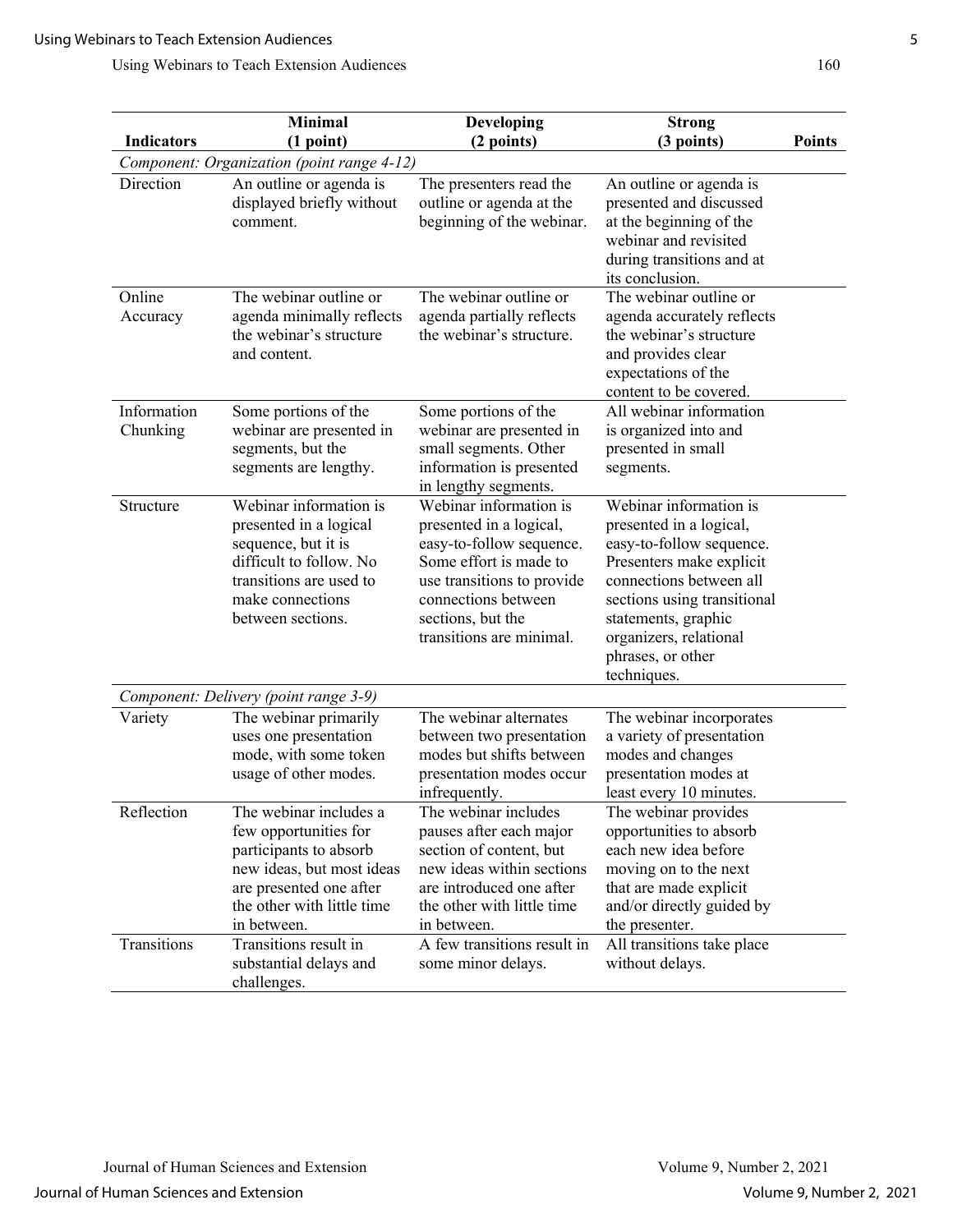|                                            | Minimal                                                                                                                                                                        | <b>Developing</b>                                                                                                                                                                                             | <b>Strong</b>                                                                                                                                                                                                                                            |               |  |
|--------------------------------------------|--------------------------------------------------------------------------------------------------------------------------------------------------------------------------------|---------------------------------------------------------------------------------------------------------------------------------------------------------------------------------------------------------------|----------------------------------------------------------------------------------------------------------------------------------------------------------------------------------------------------------------------------------------------------------|---------------|--|
| <b>Indicators</b>                          | (1 point)                                                                                                                                                                      | (2 points)                                                                                                                                                                                                    | (3 points)                                                                                                                                                                                                                                               | <b>Points</b> |  |
| Component: Organization (point range 4-12) |                                                                                                                                                                                |                                                                                                                                                                                                               |                                                                                                                                                                                                                                                          |               |  |
| Direction                                  | An outline or agenda is<br>displayed briefly without<br>comment.                                                                                                               | The presenters read the<br>outline or agenda at the<br>beginning of the webinar.                                                                                                                              | An outline or agenda is<br>presented and discussed<br>at the beginning of the<br>webinar and revisited<br>during transitions and at<br>its conclusion.                                                                                                   |               |  |
| Online<br>Accuracy                         | The webinar outline or<br>agenda minimally reflects<br>the webinar's structure<br>and content.                                                                                 | The webinar outline or<br>agenda partially reflects<br>the webinar's structure.                                                                                                                               | The webinar outline or<br>agenda accurately reflects<br>the webinar's structure<br>and provides clear<br>expectations of the                                                                                                                             |               |  |
|                                            |                                                                                                                                                                                |                                                                                                                                                                                                               | content to be covered.                                                                                                                                                                                                                                   |               |  |
| Information<br>Chunking                    | Some portions of the<br>webinar are presented in<br>segments, but the<br>segments are lengthy.                                                                                 | Some portions of the<br>webinar are presented in<br>small segments. Other<br>information is presented<br>in lengthy segments.                                                                                 | All webinar information<br>is organized into and<br>presented in small<br>segments.                                                                                                                                                                      |               |  |
| Structure                                  | Webinar information is<br>presented in a logical<br>sequence, but it is<br>difficult to follow. No<br>transitions are used to<br>make connections<br>between sections.         | Webinar information is<br>presented in a logical,<br>easy-to-follow sequence.<br>Some effort is made to<br>use transitions to provide<br>connections between<br>sections, but the<br>transitions are minimal. | Webinar information is<br>presented in a logical,<br>easy-to-follow sequence.<br>Presenters make explicit<br>connections between all<br>sections using transitional<br>statements, graphic<br>organizers, relational<br>phrases, or other<br>techniques. |               |  |
|                                            | Component: Delivery (point range 3-9)                                                                                                                                          |                                                                                                                                                                                                               |                                                                                                                                                                                                                                                          |               |  |
| Variety                                    | The webinar primarily<br>uses one presentation<br>mode, with some token<br>usage of other modes.                                                                               | The webinar alternates<br>between two presentation<br>modes but shifts between<br>presentation modes occur<br>infrequently.                                                                                   | The webinar incorporates<br>a variety of presentation<br>modes and changes<br>presentation modes at<br>least every 10 minutes.                                                                                                                           |               |  |
| Reflection                                 | The webinar includes a<br>few opportunities for<br>participants to absorb<br>new ideas, but most ideas<br>are presented one after<br>the other with little time<br>in between. | The webinar includes<br>pauses after each major<br>section of content, but<br>new ideas within sections<br>are introduced one after<br>the other with little time<br>in between.                              | The webinar provides<br>opportunities to absorb<br>each new idea before<br>moving on to the next<br>that are made explicit<br>and/or directly guided by<br>the presenter.                                                                                |               |  |
| Transitions                                | Transitions result in<br>substantial delays and<br>challenges.                                                                                                                 | A few transitions result in<br>some minor delays.                                                                                                                                                             | All transitions take place<br>without delays.                                                                                                                                                                                                            |               |  |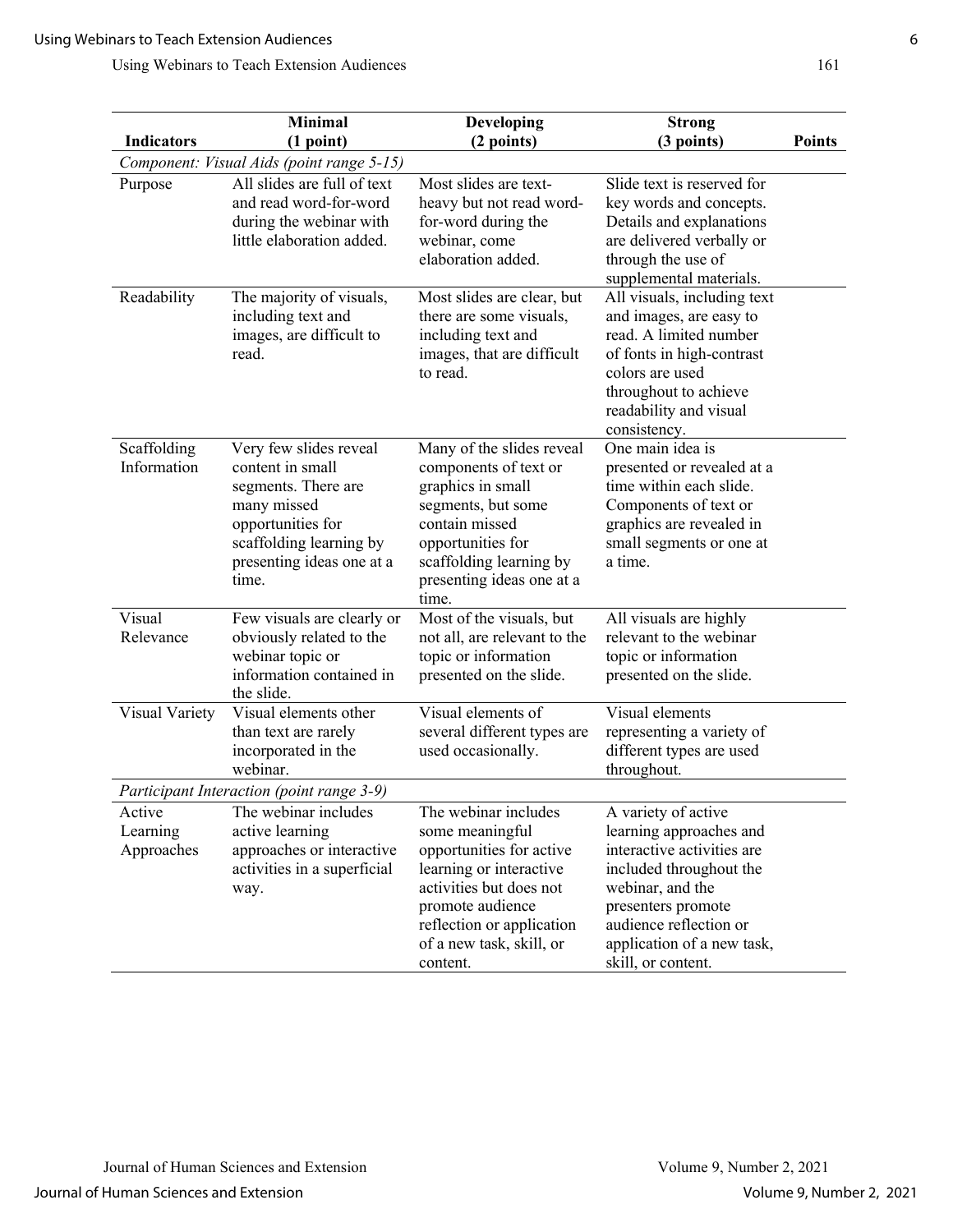|                                  | <b>Minimal</b>                                                                                                                                                         | Developing                                                                                                                                                                                                         | <b>Strong</b>                                                                                                                                                                                                                   |               |  |  |
|----------------------------------|------------------------------------------------------------------------------------------------------------------------------------------------------------------------|--------------------------------------------------------------------------------------------------------------------------------------------------------------------------------------------------------------------|---------------------------------------------------------------------------------------------------------------------------------------------------------------------------------------------------------------------------------|---------------|--|--|
| <b>Indicators</b>                | (1 point)                                                                                                                                                              | (2 points)                                                                                                                                                                                                         | (3 points)                                                                                                                                                                                                                      | <b>Points</b> |  |  |
|                                  | Component: Visual Aids (point range 5-15)                                                                                                                              |                                                                                                                                                                                                                    |                                                                                                                                                                                                                                 |               |  |  |
| Purpose                          | All slides are full of text<br>and read word-for-word<br>during the webinar with<br>little elaboration added.                                                          | Most slides are text-<br>heavy but not read word-<br>for-word during the<br>webinar, come<br>elaboration added.                                                                                                    | Slide text is reserved for<br>key words and concepts.<br>Details and explanations<br>are delivered verbally or<br>through the use of<br>supplemental materials.                                                                 |               |  |  |
| Readability                      | The majority of visuals,<br>including text and<br>images, are difficult to<br>read.                                                                                    | Most slides are clear, but<br>there are some visuals,<br>including text and<br>images, that are difficult<br>to read.                                                                                              | All visuals, including text<br>and images, are easy to<br>read. A limited number<br>of fonts in high-contrast<br>colors are used<br>throughout to achieve<br>readability and visual<br>consistency.                             |               |  |  |
| Scaffolding<br>Information       | Very few slides reveal<br>content in small<br>segments. There are<br>many missed<br>opportunities for<br>scaffolding learning by<br>presenting ideas one at a<br>time. | Many of the slides reveal<br>components of text or<br>graphics in small<br>segments, but some<br>contain missed<br>opportunities for<br>scaffolding learning by<br>presenting ideas one at a<br>time.              | One main idea is<br>presented or revealed at a<br>time within each slide.<br>Components of text or<br>graphics are revealed in<br>small segments or one at<br>a time.                                                           |               |  |  |
| Visual<br>Relevance              | Few visuals are clearly or<br>obviously related to the<br>webinar topic or<br>information contained in<br>the slide.                                                   | Most of the visuals, but<br>not all, are relevant to the<br>topic or information<br>presented on the slide.                                                                                                        | All visuals are highly<br>relevant to the webinar<br>topic or information<br>presented on the slide.                                                                                                                            |               |  |  |
| Visual Variety                   | Visual elements other<br>than text are rarely<br>incorporated in the<br>webinar.                                                                                       | Visual elements of<br>several different types are<br>used occasionally.                                                                                                                                            | Visual elements<br>representing a variety of<br>different types are used<br>throughout.                                                                                                                                         |               |  |  |
|                                  | Participant Interaction (point range 3-9)                                                                                                                              |                                                                                                                                                                                                                    |                                                                                                                                                                                                                                 |               |  |  |
| Active<br>Learning<br>Approaches | The webinar includes<br>active learning<br>approaches or interactive<br>activities in a superficial<br>way.                                                            | The webinar includes<br>some meaningful<br>opportunities for active<br>learning or interactive<br>activities but does not<br>promote audience<br>reflection or application<br>of a new task, skill, or<br>content. | A variety of active<br>learning approaches and<br>interactive activities are<br>included throughout the<br>webinar, and the<br>presenters promote<br>audience reflection or<br>application of a new task,<br>skill, or content. |               |  |  |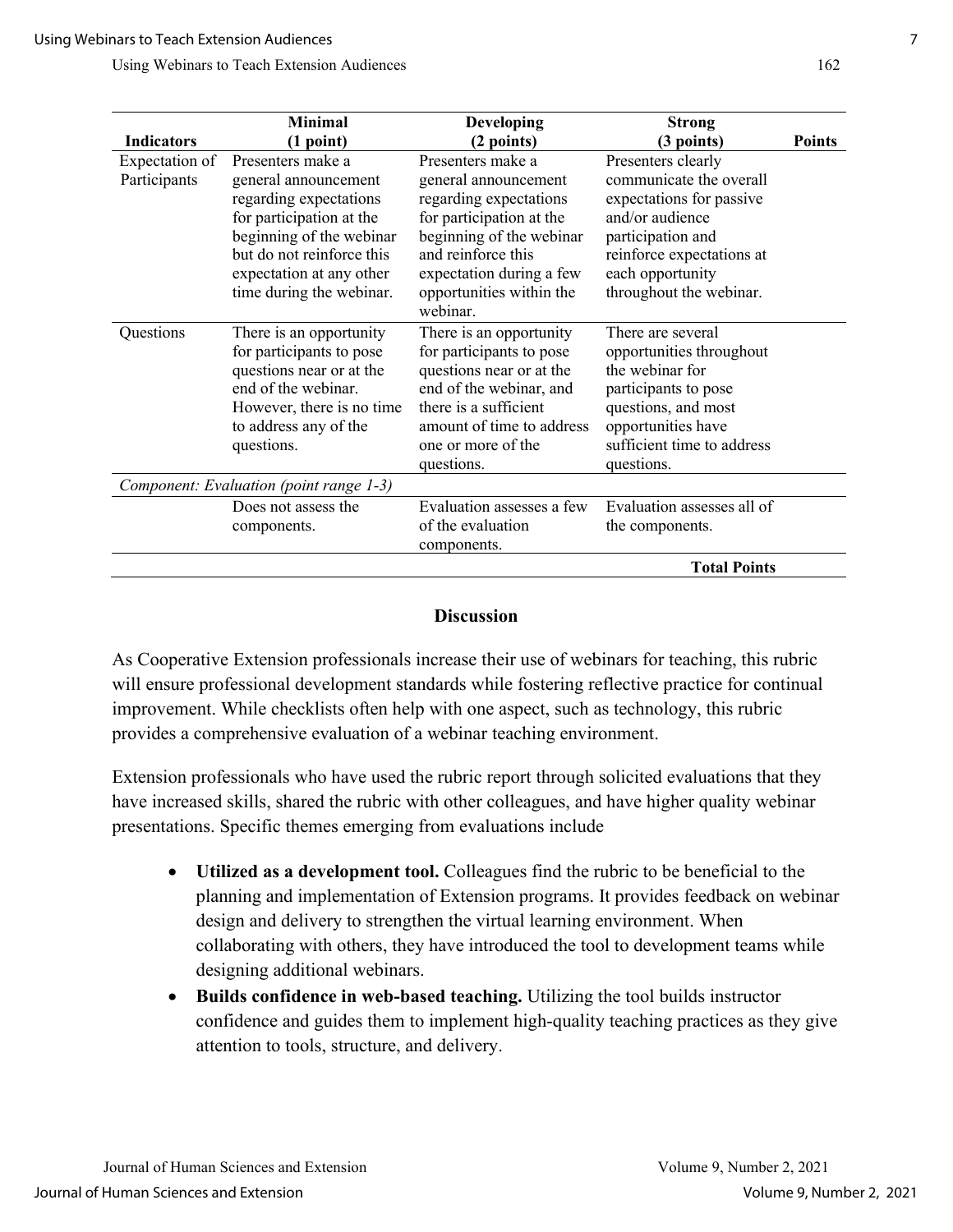|                   | <b>Minimal</b>                          | <b>Developing</b>         | <b>Strong</b>              |               |
|-------------------|-----------------------------------------|---------------------------|----------------------------|---------------|
|                   |                                         |                           |                            | <b>Points</b> |
| <b>Indicators</b> | (1 point)                               | (2 points)                | (3 points)                 |               |
| Expectation of    | Presenters make a                       | Presenters make a         | Presenters clearly         |               |
| Participants      | general announcement                    | general announcement      | communicate the overall    |               |
|                   | regarding expectations                  | regarding expectations    | expectations for passive   |               |
|                   | for participation at the                | for participation at the  | and/or audience            |               |
|                   | beginning of the webinar                | beginning of the webinar  | participation and          |               |
|                   | but do not reinforce this               | and reinforce this        | reinforce expectations at  |               |
|                   | expectation at any other                | expectation during a few  | each opportunity           |               |
|                   | time during the webinar.                | opportunities within the  | throughout the webinar.    |               |
|                   |                                         | webinar.                  |                            |               |
| Questions         | There is an opportunity                 | There is an opportunity   | There are several          |               |
|                   | for participants to pose                | for participants to pose  | opportunities throughout   |               |
|                   | questions near or at the                | questions near or at the  | the webinar for            |               |
|                   | end of the webinar.                     | end of the webinar, and   | participants to pose       |               |
|                   | However, there is no time               | there is a sufficient     | questions, and most        |               |
|                   | to address any of the                   | amount of time to address | opportunities have         |               |
|                   | questions.                              | one or more of the        | sufficient time to address |               |
|                   |                                         |                           |                            |               |
|                   |                                         | questions.                | questions.                 |               |
|                   | Component: Evaluation (point range 1-3) |                           |                            |               |
|                   | Does not assess the                     | Evaluation assesses a few | Evaluation assesses all of |               |
|                   | components.                             | of the evaluation         | the components.            |               |
|                   |                                         | components.               |                            |               |
|                   |                                         |                           | <b>Total Points</b>        |               |

#### **Discussion**

As Cooperative Extension professionals increase their use of webinars for teaching, this rubric will ensure professional development standards while fostering reflective practice for continual improvement. While checklists often help with one aspect, such as technology, this rubric provides a comprehensive evaluation of a webinar teaching environment.

Extension professionals who have used the rubric report through solicited evaluations that they have increased skills, shared the rubric with other colleagues, and have higher quality webinar presentations. Specific themes emerging from evaluations include

- **Utilized as a development tool.** Colleagues find the rubric to be beneficial to the planning and implementation of Extension programs. It provides feedback on webinar design and delivery to strengthen the virtual learning environment. When collaborating with others, they have introduced the tool to development teams while designing additional webinars.
- **Builds confidence in web-based teaching.** Utilizing the tool builds instructor confidence and guides them to implement high-quality teaching practices as they give attention to tools, structure, and delivery.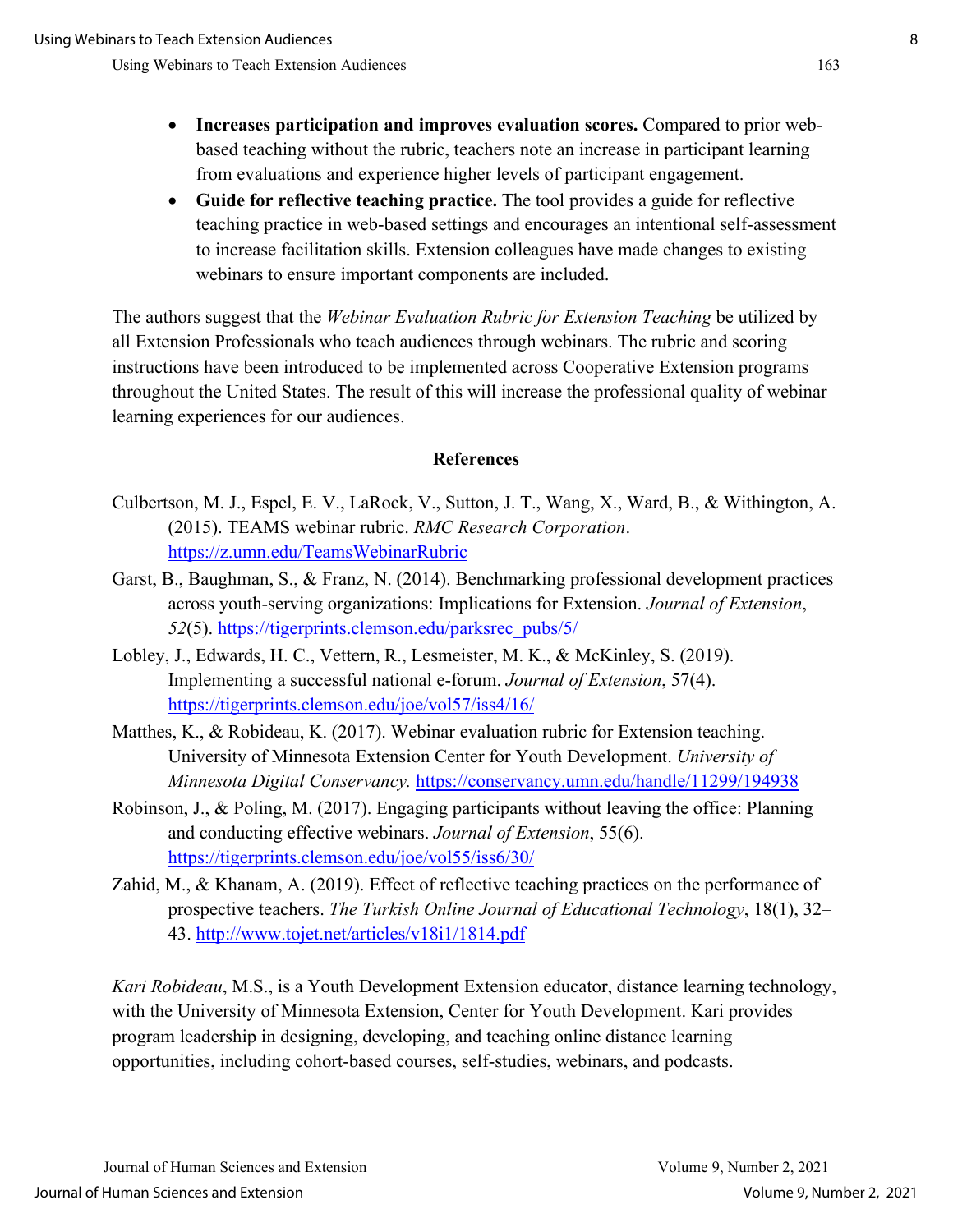- **Increases participation and improves evaluation scores.** Compared to prior webbased teaching without the rubric, teachers note an increase in participant learning from evaluations and experience higher levels of participant engagement.
- **Guide for reflective teaching practice.** The tool provides a guide for reflective teaching practice in web-based settings and encourages an intentional self-assessment to increase facilitation skills. Extension colleagues have made changes to existing webinars to ensure important components are included.

The authors suggest that the *Webinar Evaluation Rubric for Extension Teaching* be utilized by all Extension Professionals who teach audiences through webinars. The rubric and scoring instructions have been introduced to be implemented across Cooperative Extension programs throughout the United States. The result of this will increase the professional quality of webinar learning experiences for our audiences.

#### **References**

- Culbertson, M. J., Espel, E. V., LaRock, V., Sutton, J. T., Wang, X., Ward, B., & Withington, A. (2015). TEAMS webinar rubric. *RMC Research Corporation*. <https://z.umn.edu/TeamsWebinarRubric>
- Garst, B., Baughman, S., & Franz, N. (2014). Benchmarking professional development practices across youth-serving organizations: Implications for Extension. *Journal of Extension*, *52*(5). [https://tigerprints.clemson.edu/parksrec\\_pubs/5/](https://tigerprints.clemson.edu/parksrec_pubs/5/)
- Lobley, J., Edwards, H. C., Vettern, R., Lesmeister, M. K., & McKinley, S. (2019). Implementing a successful national e-forum. *Journal of Extension*, 57(4). <https://tigerprints.clemson.edu/joe/vol57/iss4/16/>
- Matthes, K., & Robideau, K. (2017). Webinar evaluation rubric for Extension teaching. University of Minnesota Extension Center for Youth Development. *University of Minnesota Digital Conservancy.* <https://conservancy.umn.edu/handle/11299/194938>
- Robinson, J., & Poling, M. (2017). Engaging participants without leaving the office: Planning and conducting effective webinars. *Journal of Extension*, 55(6). <https://tigerprints.clemson.edu/joe/vol55/iss6/30/>
- Zahid, M., & Khanam, A. (2019). Effect of reflective teaching practices on the performance of prospective teachers. *The Turkish Online Journal of Educational Technology*, 18(1), 32– 43.<http://www.tojet.net/articles/v18i1/1814.pdf>

*Kari Robideau*, M.S., is a Youth Development Extension educator, distance learning technology, with the University of Minnesota Extension, Center for Youth Development. Kari provides program leadership in designing, developing, and teaching online distance learning opportunities, including cohort-based courses, self-studies, webinars, and podcasts.